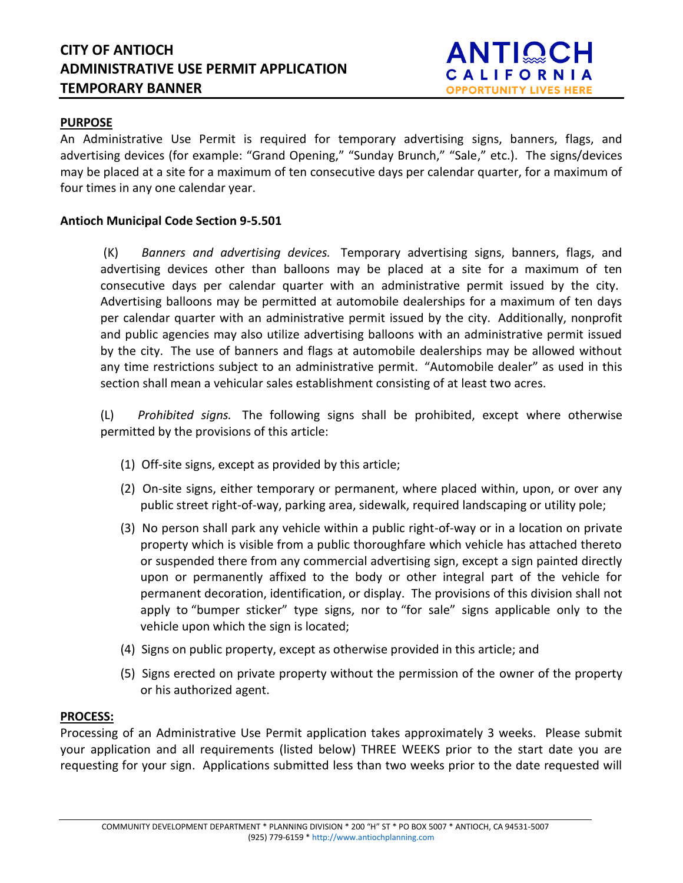## **PURPOSE**

An Administrative Use Permit is required for temporary advertising signs, banners, flags, and advertising devices (for example: "Grand Opening," "Sunday Brunch," "Sale," etc.). The signs/devices may be placed at a site for a maximum of ten consecutive days per calendar quarter, for a maximum of four times in any one calendar year.

### **Antioch Municipal Code Section 9-5.501**

(K) *Banners and advertising devices.* Temporary advertising signs, banners, flags, and advertising devices other than balloons may be placed at a site for a maximum of ten consecutive days per calendar quarter with an administrative permit issued by the city. Advertising balloons may be permitted at automobile dealerships for a maximum of ten days per calendar quarter with an administrative permit issued by the city. Additionally, nonprofit and public agencies may also utilize advertising balloons with an administrative permit issued by the city. The use of banners and flags at automobile dealerships may be allowed without any time restrictions subject to an administrative permit. "Automobile dealer" as used in this section shall mean a vehicular sales establishment consisting of at least two acres.

(L) *Prohibited signs.* The following signs shall be prohibited, except where otherwise permitted by the provisions of this article:

- (1) Off-site signs, except as provided by this article;
- (2) On-site signs, either temporary or permanent, where placed within, upon, or over any public street right-of-way, parking area, sidewalk, required landscaping or utility pole;
- (3) No person shall park any vehicle within a public right-of-way or in a location on private property which is visible from a public thoroughfare which vehicle has attached thereto or suspended there from any commercial advertising sign, except a sign painted directly upon or permanently affixed to the body or other integral part of the vehicle for permanent decoration, identification, or display. The provisions of this division shall not apply to "bumper sticker" type signs, nor to "for sale" signs applicable only to the vehicle upon which the sign is located;
- (4) Signs on public property, except as otherwise provided in this article; and
- (5) Signs erected on private property without the permission of the owner of the property or his authorized agent.

### **PROCESS:**

Processing of an Administrative Use Permit application takes approximately 3 weeks. Please submit your application and all requirements (listed below) THREE WEEKS prior to the start date you are requesting for your sign. Applications submitted less than two weeks prior to the date requested will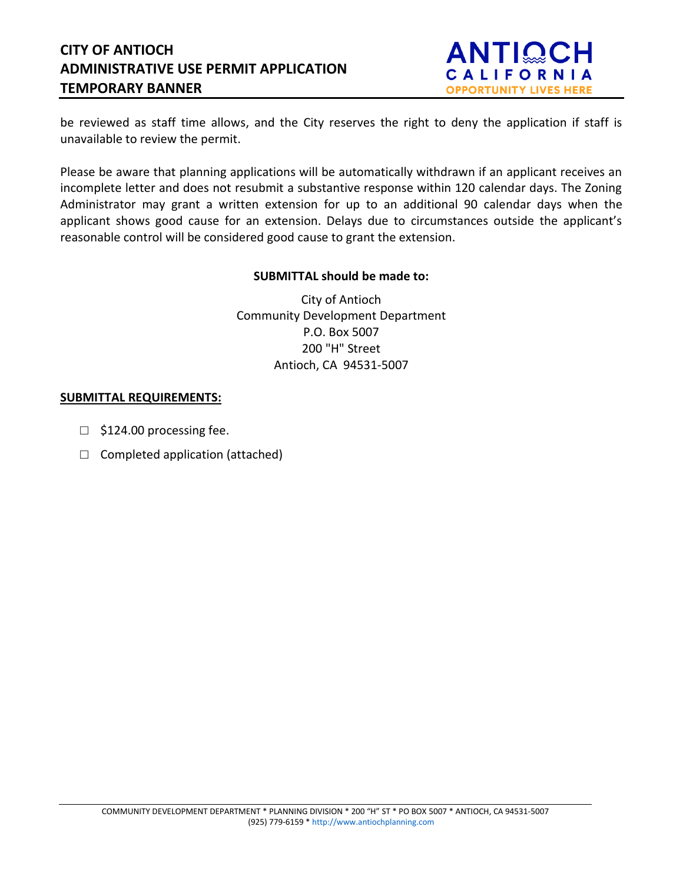# **CITY OF ANTIOCH ADMINISTRATIVE USE PERMIT APPLICATION TEMPORARY BANNER**



be reviewed as staff time allows, and the City reserves the right to deny the application if staff is unavailable to review the permit.

Please be aware that planning applications will be automatically withdrawn if an applicant receives an incomplete letter and does not resubmit a substantive response within 120 calendar days. The Zoning Administrator may grant a written extension for up to an additional 90 calendar days when the applicant shows good cause for an extension. Delays due to circumstances outside the applicant's reasonable control will be considered good cause to grant the extension.

### **SUBMITTAL should be made to:**

City of Antioch Community Development Department P.O. Box 5007 200 "H" Street Antioch, CA 94531-5007

### **SUBMITTAL REQUIREMENTS:**

- $\Box$  \$124.00 processing fee.
- $\Box$  Completed application (attached)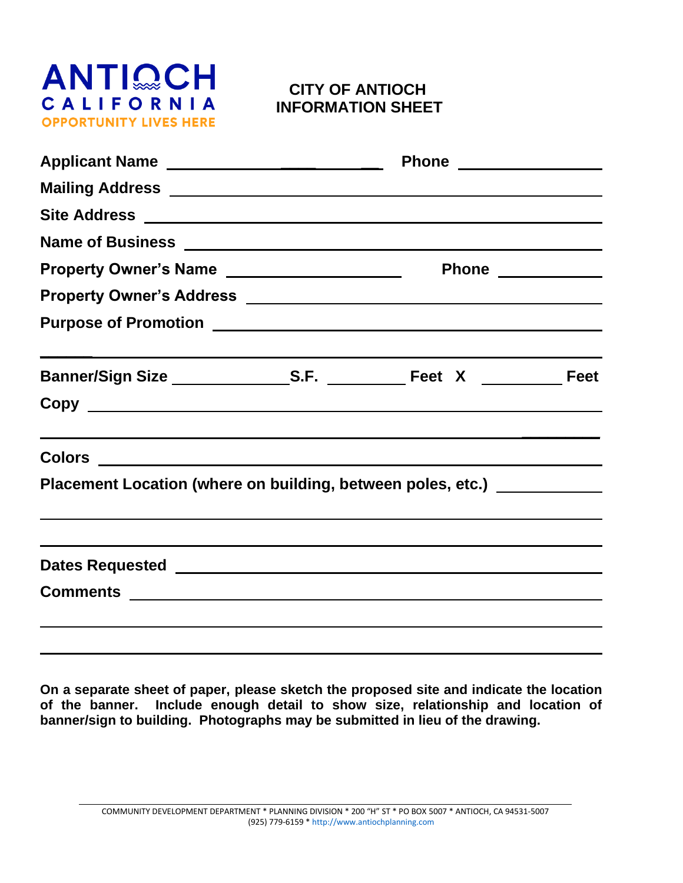

# **CITY OF ANTIOCH INFORMATION SHEET**

| Property Owner's Name ______________________                                                                                                                                                                                   |  |  |  |
|--------------------------------------------------------------------------------------------------------------------------------------------------------------------------------------------------------------------------------|--|--|--|
|                                                                                                                                                                                                                                |  |  |  |
|                                                                                                                                                                                                                                |  |  |  |
|                                                                                                                                                                                                                                |  |  |  |
|                                                                                                                                                                                                                                |  |  |  |
|                                                                                                                                                                                                                                |  |  |  |
| Placement Location (where on building, between poles, etc.) [2001]                                                                                                                                                             |  |  |  |
|                                                                                                                                                                                                                                |  |  |  |
| Dates Requested National Accounts and the Contract of the Contract of the Contract of the Contract of the Contract of the Contract of the Contract of the Contract of the Contract of the Contract of the Contract of the Cont |  |  |  |
| Comments experience and the comments of the comments of the comments of the comments of the comments of the comments of the comments of the comments of the comments of the comments of the comments of the comments of the co |  |  |  |
|                                                                                                                                                                                                                                |  |  |  |
|                                                                                                                                                                                                                                |  |  |  |

**On a separate sheet of paper, please sketch the proposed site and indicate the location of the banner. Include enough detail to show size, relationship and location of banner/sign to building. Photographs may be submitted in lieu of the drawing.**